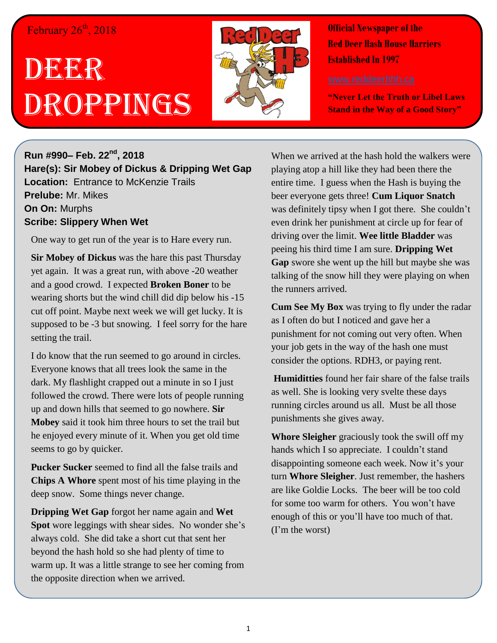## February 26<sup>th</sup>, 2018

## DEGE R Droppings



**Official Newspaper of the Red Deer Hash House Harriers Established In 1997** 

**"Never Let the Truth or Libel Laws Stand in the Way of a Good Story"**

**Run #990– Feb. 22nd, 2018 Hare(s): Sir Mobey of Dickus & Dripping Wet Gap Location:** Entrance to McKenzie Trails **Prelube:** Mr. Mikes **On On:** Murphs **Scribe: Slippery When Wet**

One way to get run of the year is to Hare every run.

**Sir Mobey of Dickus** was the hare this past Thursday yet again. It was a great run, with above -20 weather and a good crowd. I expected **Broken Boner** to be wearing shorts but the wind chill did dip below his -15 cut off point. Maybe next week we will get lucky. It is supposed to be -3 but snowing. I feel sorry for the hare setting the trail.

I do know that the run seemed to go around in circles. Everyone knows that all trees look the same in the dark. My flashlight crapped out a minute in so I just followed the crowd. There were lots of people running up and down hills that seemed to go nowhere. **Sir Mobey** said it took him three hours to set the trail but he enjoyed every minute of it. When you get old time seems to go by quicker.

**Pucker Sucker** seemed to find all the false trails and **Chips A Whore** spent most of his time playing in the deep snow. Some things never change.

**Dripping Wet Gap** forgot her name again and **Wet Spot** wore leggings with shear sides. No wonder she's always cold. She did take a short cut that sent her beyond the hash hold so she had plenty of time to warm up. It was a little strange to see her coming from the opposite direction when we arrived.

When we arrived at the hash hold the walkers were playing atop a hill like they had been there the entire time. I guess when the Hash is buying the beer everyone gets three! **Cum Liquor Snatch** was definitely tipsy when I got there. She couldn't even drink her punishment at circle up for fear of driving over the limit. **Wee little Bladder** was peeing his third time I am sure. **Dripping Wet Gap** swore she went up the hill but maybe she was talking of the snow hill they were playing on when the runners arrived.

**Cum See My Box** was trying to fly under the radar as I often do but I noticed and gave her a punishment for not coming out very often. When your job gets in the way of the hash one must consider the options. RDH3, or paying rent.

**Humiditties** found her fair share of the false trails as well. She is looking very svelte these days running circles around us all. Must be all those punishments she gives away.

**Whore Sleigher** graciously took the swill off my hands which I so appreciate. I couldn't stand disappointing someone each week. Now it's your turn **Whore Sleigher**. Just remember, the hashers are like Goldie Locks. The beer will be too cold for some too warm for others. You won't have enough of this or you'll have too much of that. (I'm the worst)